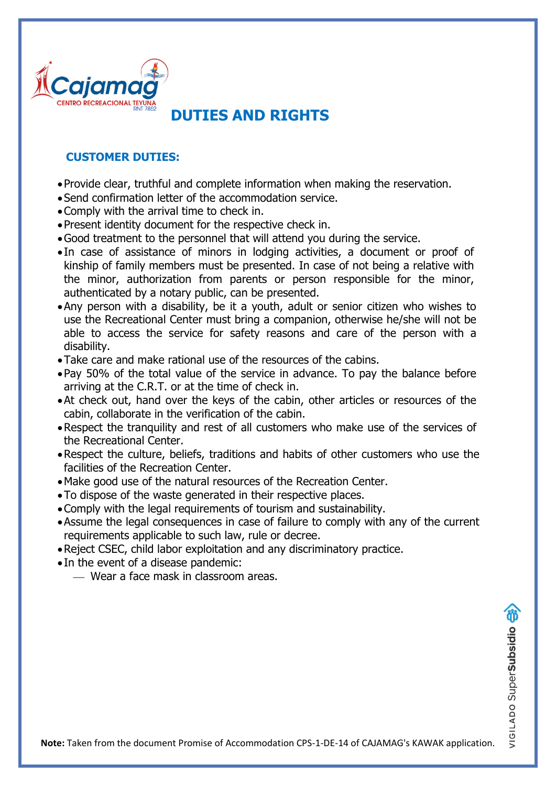

#### **CUSTOMER DUTIES:**

- •Provide clear, truthful and complete information when making the reservation.
- •Send confirmation letter of the accommodation service.
- •Comply with the arrival time to check in.
- •Present identity document for the respective check in.
- •Good treatment to the personnel that will attend you during the service.
- In case of assistance of minors in lodging activities, a document or proof of kinship of family members must be presented. In case of not being a relative with the minor, authorization from parents or person responsible for the minor, authenticated by a notary public, can be presented.
- •Any person with a disability, be it a youth, adult or senior citizen who wishes to use the Recreational Center must bring a companion, otherwise he/she will not be able to access the service for safety reasons and care of the person with a disability.
- •Take care and make rational use of the resources of the cabins.
- •Pay 50% of the total value of the service in advance. To pay the balance before arriving at the C.R.T. or at the time of check in.
- •At check out, hand over the keys of the cabin, other articles or resources of the cabin, collaborate in the verification of the cabin.
- •Respect the tranquility and rest of all customers who make use of the services of the Recreational Center.
- •Respect the culture, beliefs, traditions and habits of other customers who use the facilities of the Recreation Center.
- •Make good use of the natural resources of the Recreation Center.
- •To dispose of the waste generated in their respective places.
- •Comply with the legal requirements of tourism and sustainability.
- •Assume the legal consequences in case of failure to comply with any of the current requirements applicable to such law, rule or decree.
- •Reject CSEC, child labor exploitation and any discriminatory practice.
- In the event of a disease pandemic:
	- ⎯ Wear a face mask in classroom areas.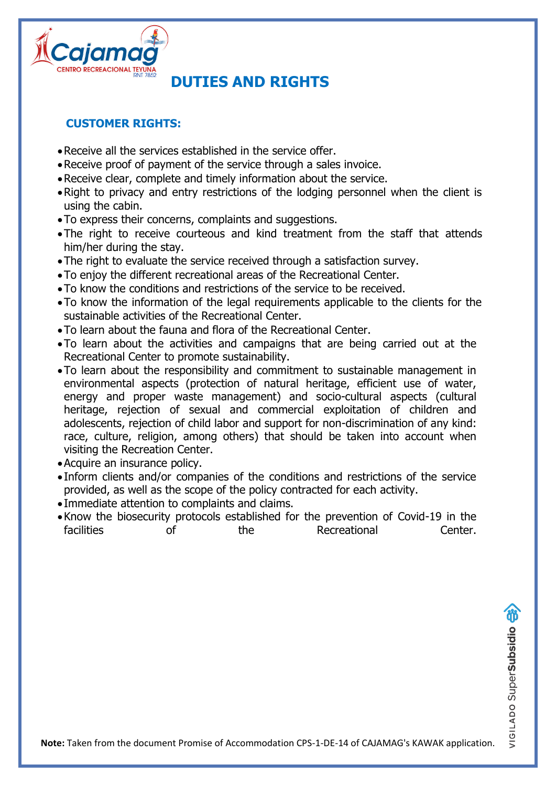

#### **CUSTOMER RIGHTS:**

- •Receive all the services established in the service offer.
- •Receive proof of payment of the service through a sales invoice.
- •Receive clear, complete and timely information about the service.
- •Right to privacy and entry restrictions of the lodging personnel when the client is using the cabin.
- •To express their concerns, complaints and suggestions.
- •The right to receive courteous and kind treatment from the staff that attends him/her during the stay.
- •The right to evaluate the service received through a satisfaction survey.
- •To enjoy the different recreational areas of the Recreational Center.
- •To know the conditions and restrictions of the service to be received.
- •To know the information of the legal requirements applicable to the clients for the sustainable activities of the Recreational Center.
- •To learn about the fauna and flora of the Recreational Center.
- •To learn about the activities and campaigns that are being carried out at the Recreational Center to promote sustainability.
- •To learn about the responsibility and commitment to sustainable management in environmental aspects (protection of natural heritage, efficient use of water, energy and proper waste management) and socio-cultural aspects (cultural heritage, rejection of sexual and commercial exploitation of children and adolescents, rejection of child labor and support for non-discrimination of any kind: race, culture, religion, among others) that should be taken into account when visiting the Recreation Center.
- •Acquire an insurance policy.
- Inform clients and/or companies of the conditions and restrictions of the service provided, as well as the scope of the policy contracted for each activity.
- Immediate attention to complaints and claims.
- •Know the biosecurity protocols established for the prevention of Covid-19 in the facilities of the Recreational Center.

**Note:** Taken from the document Promise of Accommodation CPS-1-DE-14 of CAJAMAG's KAWAK application.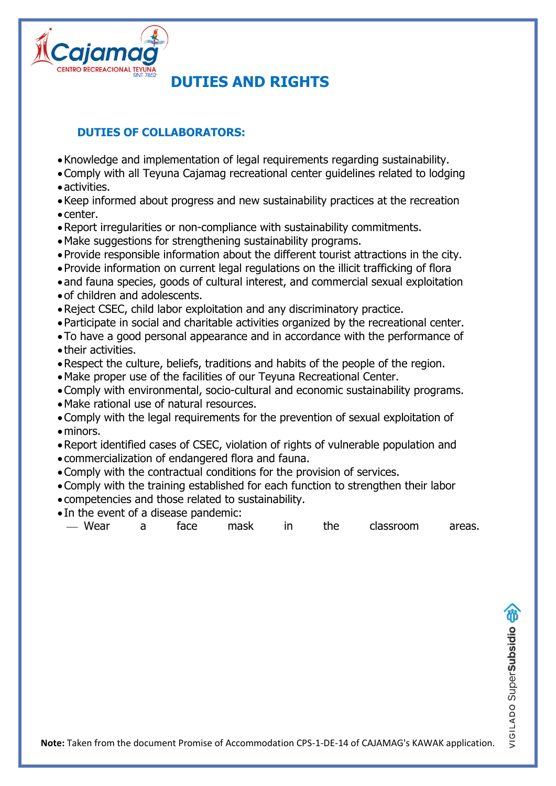

### **DUTIES OF COLLABORATORS:**

- •Knowledge and implementation of legal requirements regarding sustainability.
- •Comply with all Teyuna Cajamag recreational center guidelines related to lodging •activities.
- •Keep informed about progress and new sustainability practices at the recreation • center.
- •Report irregularities or non-compliance with sustainability commitments.
- •Make suggestions for strengthening sustainability programs.
- •Provide responsible information about the different tourist attractions in the city.
- •Provide information on current legal regulations on the illicit trafficking of flora
- •and fauna species, goods of cultural interest, and commercial sexual exploitation
- •of children and adolescents.
- •Reject CSEC, child labor exploitation and any discriminatory practice.
- •Participate in social and charitable activities organized by the recreational center.
- •To have a good personal appearance and in accordance with the performance of • their activities.
- •Respect the culture, beliefs, traditions and habits of the people of the region.
- •Make proper use of the facilities of our Teyuna Recreational Center.
- •Comply with environmental, socio-cultural and economic sustainability programs.
- •Make rational use of natural resources.
- •Comply with the legal requirements for the prevention of sexual exploitation of • minors.
- •Report identified cases of CSEC, violation of rights of vulnerable population and
- commercialization of endangered flora and fauna.
- •Comply with the contractual conditions for the provision of services.
- •Comply with the training established for each function to strengthen their labor
- competencies and those related to sustainability.
- In the event of a disease pandemic:
- ⎯ Wear a face mask in the classroom areas.

**Note:** Taken from the document Promise of Accommodation CPS-1-DE-14 of CAJAMAG's KAWAK application.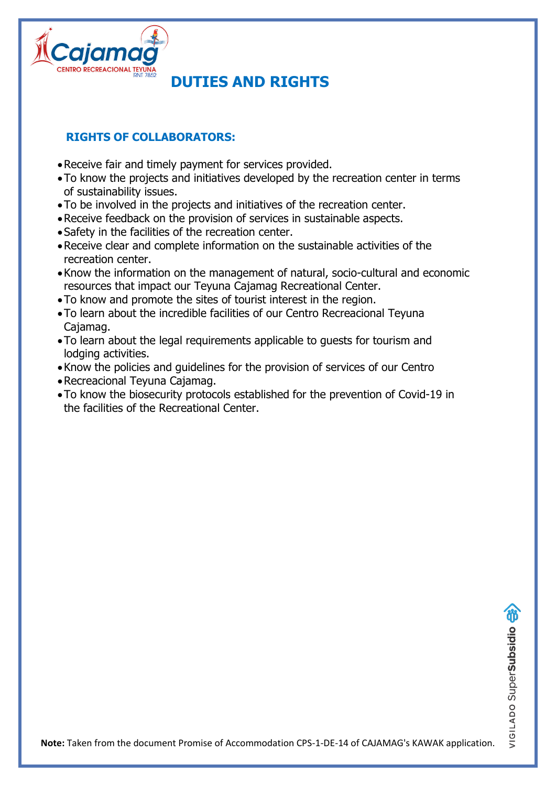

### **RIGHTS OF COLLABORATORS:**

- •Receive fair and timely payment for services provided.
- •To know the projects and initiatives developed by the recreation center in terms of sustainability issues.
- •To be involved in the projects and initiatives of the recreation center.
- •Receive feedback on the provision of services in sustainable aspects.
- •Safety in the facilities of the recreation center.
- •Receive clear and complete information on the sustainable activities of the recreation center.
- •Know the information on the management of natural, socio-cultural and economic resources that impact our Teyuna Cajamag Recreational Center.
- •To know and promote the sites of tourist interest in the region.
- •To learn about the incredible facilities of our Centro Recreacional Teyuna Cajamag.
- •To learn about the legal requirements applicable to guests for tourism and lodging activities.
- •Know the policies and guidelines for the provision of services of our Centro
- •Recreacional Teyuna Cajamag.
- •To know the biosecurity protocols established for the prevention of Covid-19 in the facilities of the Recreational Center.